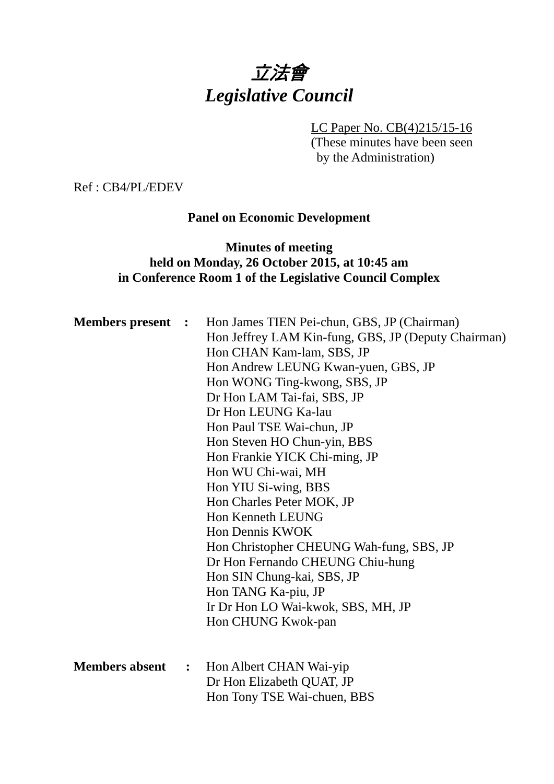# 立法會 *Legislative Council*

## LC Paper No. CB(4)215/15-16

(These minutes have been seen by the Administration)

Ref : CB4/PL/EDEV

#### **Panel on Economic Development**

## **Minutes of meeting held on Monday, 26 October 2015, at 10:45 am in Conference Room 1 of the Legislative Council Complex**

| <b>Members present :</b> |                | Hon James TIEN Pei-chun, GBS, JP (Chairman)<br>Hon Jeffrey LAM Kin-fung, GBS, JP (Deputy Chairman)<br>Hon CHAN Kam-lam, SBS, JP<br>Hon Andrew LEUNG Kwan-yuen, GBS, JP<br>Hon WONG Ting-kwong, SBS, JP<br>Dr Hon LAM Tai-fai, SBS, JP<br>Dr Hon LEUNG Ka-lau<br>Hon Paul TSE Wai-chun, JP<br>Hon Steven HO Chun-yin, BBS<br>Hon Frankie YICK Chi-ming, JP<br>Hon WU Chi-wai, MH<br>Hon YIU Si-wing, BBS<br>Hon Charles Peter MOK, JP<br><b>Hon Kenneth LEUNG</b><br>Hon Dennis KWOK<br>Hon Christopher CHEUNG Wah-fung, SBS, JP<br>Dr Hon Fernando CHEUNG Chiu-hung<br>Hon SIN Chung-kai, SBS, JP<br>Hon TANG Ka-piu, JP<br>Ir Dr Hon LO Wai-kwok, SBS, MH, JP<br>Hon CHUNG Kwok-pan |
|--------------------------|----------------|--------------------------------------------------------------------------------------------------------------------------------------------------------------------------------------------------------------------------------------------------------------------------------------------------------------------------------------------------------------------------------------------------------------------------------------------------------------------------------------------------------------------------------------------------------------------------------------------------------------------------------------------------------------------------------------|
| <b>Members absent</b>    | $\ddot{\cdot}$ | Hon Albert CHAN Wai-yip<br>Dr Hon Elizabeth QUAT, JP<br>Hon Tony TSE Wai-chuen, BBS                                                                                                                                                                                                                                                                                                                                                                                                                                                                                                                                                                                                  |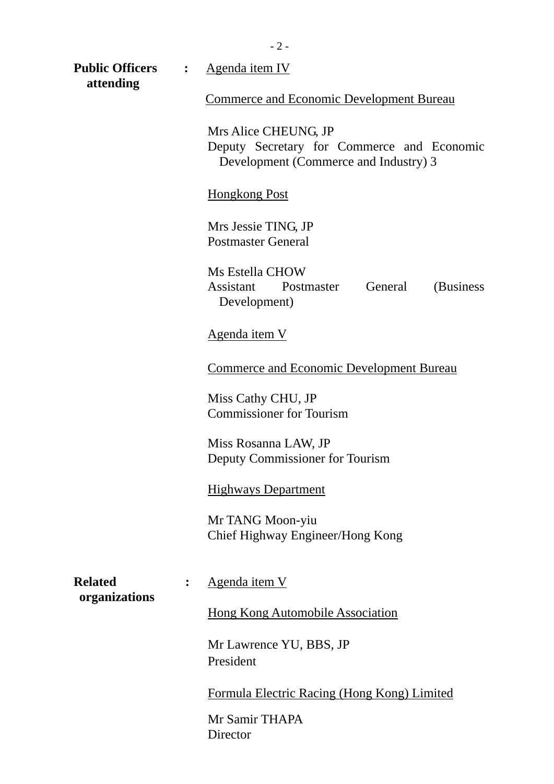| <b>Public Officers</b><br>attending | $\ddot{\cdot}$ | Agenda item IV                                                                                              |  |  |  |  |
|-------------------------------------|----------------|-------------------------------------------------------------------------------------------------------------|--|--|--|--|
|                                     |                | <b>Commerce and Economic Development Bureau</b>                                                             |  |  |  |  |
|                                     |                | Mrs Alice CHEUNG, JP<br>Deputy Secretary for Commerce and Economic<br>Development (Commerce and Industry) 3 |  |  |  |  |
|                                     |                | <b>Hongkong Post</b>                                                                                        |  |  |  |  |
|                                     |                | Mrs Jessie TING, JP<br><b>Postmaster General</b>                                                            |  |  |  |  |
|                                     |                | Ms Estella CHOW<br>Assistant<br>General<br>Postmaster<br>(Business)<br>Development)                         |  |  |  |  |
|                                     |                | <u>Agenda item V</u>                                                                                        |  |  |  |  |
|                                     |                | <b>Commerce and Economic Development Bureau</b>                                                             |  |  |  |  |
|                                     |                | Miss Cathy CHU, JP<br><b>Commissioner for Tourism</b>                                                       |  |  |  |  |
|                                     |                | Miss Rosanna LAW, JP<br>Deputy Commissioner for Tourism                                                     |  |  |  |  |
|                                     |                | <b>Highways Department</b>                                                                                  |  |  |  |  |
|                                     |                | Mr TANG Moon-yiu<br>Chief Highway Engineer/Hong Kong                                                        |  |  |  |  |
| <b>Related</b><br>organizations     | :              | <u>Agenda item V</u>                                                                                        |  |  |  |  |
|                                     |                | <b>Hong Kong Automobile Association</b>                                                                     |  |  |  |  |
|                                     |                | Mr Lawrence YU, BBS, JP<br>President                                                                        |  |  |  |  |
|                                     |                | Formula Electric Racing (Hong Kong) Limited                                                                 |  |  |  |  |
|                                     |                | Mr Samir THAPA<br>Director                                                                                  |  |  |  |  |

- 2 -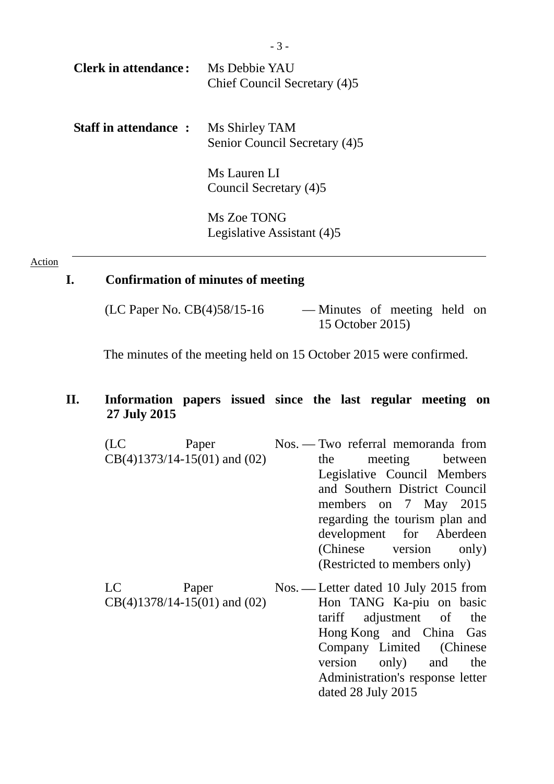| <b>Clerk in attendance:</b> | Ms Debbie YAU<br>Chief Council Secretary (4)5   |
|-----------------------------|-------------------------------------------------|
| <b>Staff in attendance:</b> | Ms Shirley TAM<br>Senior Council Secretary (4)5 |
|                             | Ms Lauren LI<br>Council Secretary (4)5          |
|                             | M. 7. . TOMO                                    |

Ms Zoe TONG Legislative Assistant (4)5

#### Action

#### **I. Confirmation of minutes of meeting**

(LC Paper No. CB(4)58/15-16 — Minutes of meeting held on

15 October 2015)

The minutes of the meeting held on 15 October 2015 were confirmed.

#### **II. Information papers issued since the last regular meeting on 27 July 2015**

- (LC Paper CB(4)1373/14-15(01) and (02) — Two referral memoranda from the meeting between Legislative Council Members and Southern District Council members on 7 May 2015 regarding the tourism plan and development for Aberdeen (Chinese version only) (Restricted to members only)
- LC Paper CB(4)1378/14-15(01) and (02) Nos. — Letter dated 10 July 2015 from Hon TANG Ka-piu on basic tariff adjustment of the Hong Kong and China Gas Company Limited (Chinese version only) and the Administration's response letter dated 28 July 2015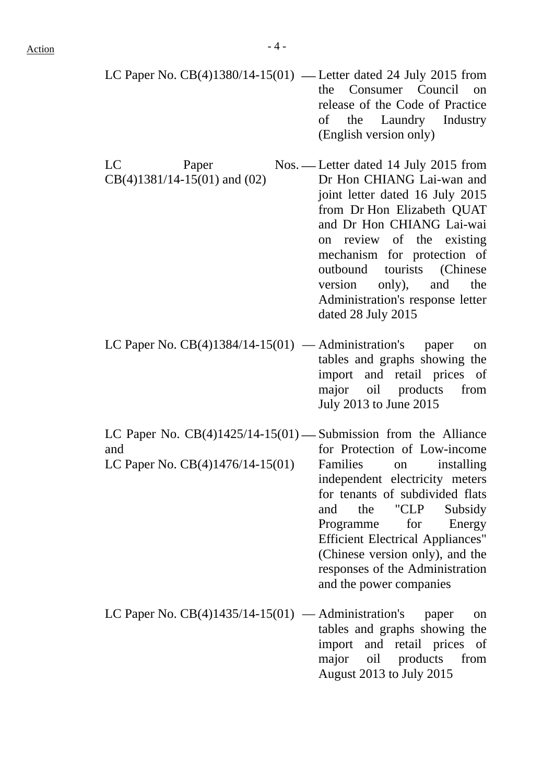- LC Paper No.  $CB(4)1380/14-15(01)$  Letter dated 24 July 2015 from the Consumer Council on release of the Code of Practice of the Laundry Industry (English version only)
- LC Paper Nos. Letter dated 14 July 2015 from CB(4)1381/14-15(01) and (02) Dr Hon CHIANG Lai-wan and joint letter dated 16 July 2015 from Dr Hon Elizabeth QUAT and Dr Hon CHIANG Lai-wai on review of the existing mechanism for protection of outbound tourists (Chinese version only), and the Administration's response letter dated 28 July 2015
- LC Paper No.  $CB(4)1384/14-15(01)$  Administration's paper on tables and graphs showing the import and retail prices of major oil products from July 2013 to June 2015
- LC Paper No.  $CB(4)1425/14-15(01)$  Submission from the Alliance and LC Paper No. CB(4)1476/14-15(01) for Protection of Low-income Families on installing independent electricity meters for tenants of subdivided flats and the "CLP Subsidy Programme for Energy Efficient Electrical Appliances" (Chinese version only), and the responses of the Administration and the power companies
- LC Paper No.  $CB(4)1435/14-15(01)$  Administration's paper on tables and graphs showing the import and retail prices of major oil products from August 2013 to July 2015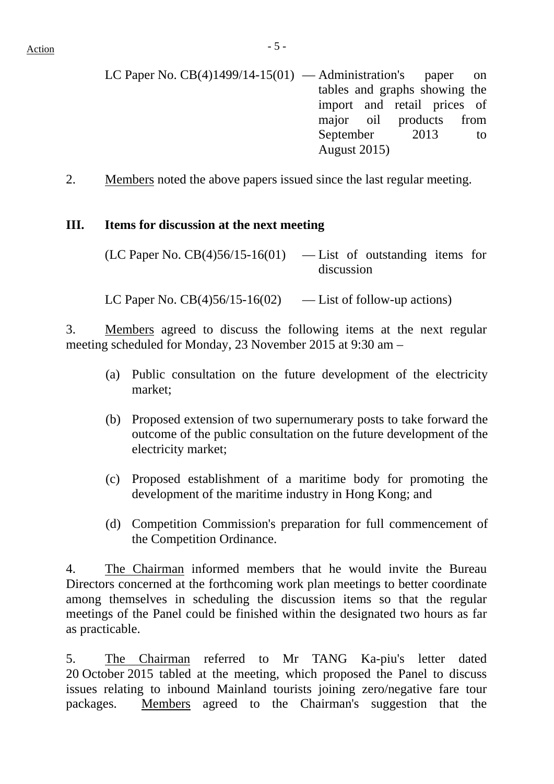- LC Paper No.  $CB(4)1499/14-15(01)$  Administration's paper on tables and graphs showing the import and retail prices of major oil products from September 2013 to August 2015)
- 2. Members noted the above papers issued since the last regular meeting.

#### **III. Items for discussion at the next meeting**

 $(LC$  Paper No.  $CB(4)56/15-16(01)$  — List of outstanding items for discussion

LC Paper No.  $CB(4)56/15-16(02)$  — List of follow-up actions)

3. Members agreed to discuss the following items at the next regular meeting scheduled for Monday, 23 November 2015 at 9:30 am –

- (a) Public consultation on the future development of the electricity market;
- (b) Proposed extension of two supernumerary posts to take forward the outcome of the public consultation on the future development of the electricity market;
- (c) Proposed establishment of a maritime body for promoting the development of the maritime industry in Hong Kong; and
- (d) Competition Commission's preparation for full commencement of the Competition Ordinance.

4. The Chairman informed members that he would invite the Bureau Directors concerned at the forthcoming work plan meetings to better coordinate among themselves in scheduling the discussion items so that the regular meetings of the Panel could be finished within the designated two hours as far as practicable.

5. The Chairman referred to Mr TANG Ka-piu's letter dated 20 October 2015 tabled at the meeting, which proposed the Panel to discuss issues relating to inbound Mainland tourists joining zero/negative fare tour packages. Members agreed to the Chairman's suggestion that the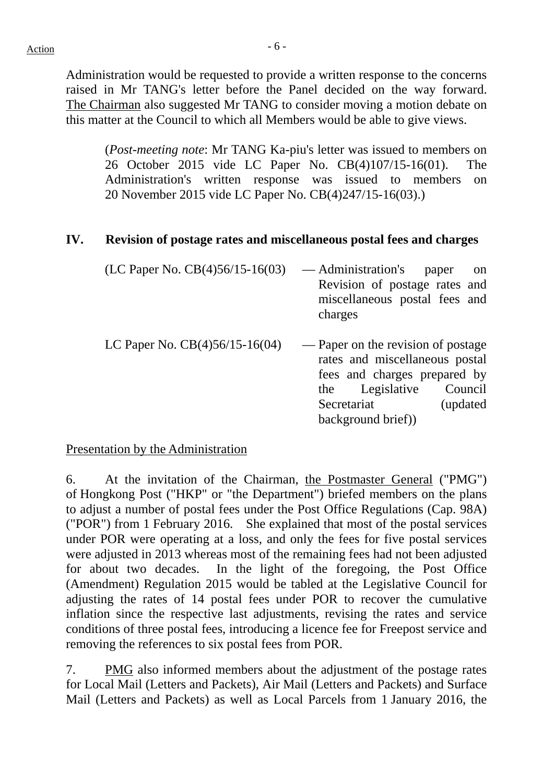Administration would be requested to provide a written response to the concerns raised in Mr TANG's letter before the Panel decided on the way forward. The Chairman also suggested Mr TANG to consider moving a motion debate on this matter at the Council to which all Members would be able to give views.

(*Post-meeting note*: Mr TANG Ka-piu's letter was issued to members on 26 October 2015 vide LC Paper No. CB(4)107/15-16(01). The Administration's written response was issued to members on 20 November 2015 vide LC Paper No. CB(4)247/15-16(03).)

#### **IV. Revision of postage rates and miscellaneous postal fees and charges**

| (LC Paper No. $CB(4)56/15-16(03)$ ) | — Administration's<br>Revision of postage rates and<br>miscellaneous postal fees and<br>charges                                        | paper<br>on         |
|-------------------------------------|----------------------------------------------------------------------------------------------------------------------------------------|---------------------|
| LC Paper No. $CB(4)56/15-16(04)$    | — Paper on the revision of postage<br>rates and miscellaneous postal<br>fees and charges prepared by<br>the Legislative<br>Secretariat | Council<br>updated) |

background brief))

Presentation by the Administration

6. At the invitation of the Chairman, the Postmaster General ("PMG") of Hongkong Post ("HKP" or "the Department") briefed members on the plans to adjust a number of postal fees under the Post Office Regulations (Cap. 98A) ("POR") from 1 February 2016. She explained that most of the postal services under POR were operating at a loss, and only the fees for five postal services were adjusted in 2013 whereas most of the remaining fees had not been adjusted for about two decades. In the light of the foregoing, the Post Office (Amendment) Regulation 2015 would be tabled at the Legislative Council for adjusting the rates of 14 postal fees under POR to recover the cumulative inflation since the respective last adjustments, revising the rates and service conditions of three postal fees, introducing a licence fee for Freepost service and removing the references to six postal fees from POR.

7. PMG also informed members about the adjustment of the postage rates for Local Mail (Letters and Packets), Air Mail (Letters and Packets) and Surface Mail (Letters and Packets) as well as Local Parcels from 1 January 2016, the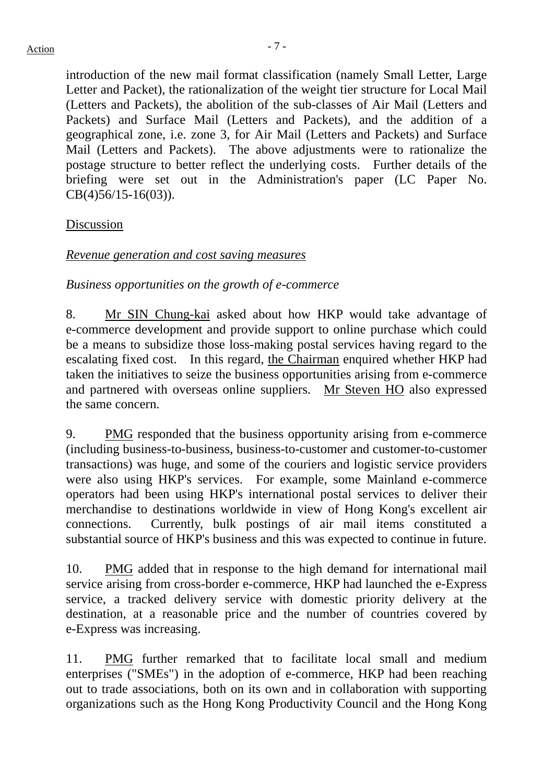introduction of the new mail format classification (namely Small Letter, Large Letter and Packet), the rationalization of the weight tier structure for Local Mail (Letters and Packets), the abolition of the sub-classes of Air Mail (Letters and Packets) and Surface Mail (Letters and Packets), and the addition of a geographical zone, i.e. zone 3, for Air Mail (Letters and Packets) and Surface Mail (Letters and Packets). The above adjustments were to rationalize the postage structure to better reflect the underlying costs. Further details of the briefing were set out in the Administration's paper (LC Paper No. CB(4)56/15-16(03)).

Discussion

## *Revenue generation and cost saving measures*

*Business opportunities on the growth of e-commerce* 

8. Mr SIN Chung-kai asked about how HKP would take advantage of e-commerce development and provide support to online purchase which could be a means to subsidize those loss-making postal services having regard to the escalating fixed cost. In this regard, the Chairman enquired whether HKP had taken the initiatives to seize the business opportunities arising from e-commerce and partnered with overseas online suppliers. Mr Steven HO also expressed the same concern.

9. PMG responded that the business opportunity arising from e-commerce (including business-to-business, business-to-customer and customer-to-customer transactions) was huge, and some of the couriers and logistic service providers were also using HKP's services. For example, some Mainland e-commerce operators had been using HKP's international postal services to deliver their merchandise to destinations worldwide in view of Hong Kong's excellent air connections. Currently, bulk postings of air mail items constituted a substantial source of HKP's business and this was expected to continue in future.

10. PMG added that in response to the high demand for international mail service arising from cross-border e-commerce, HKP had launched the e-Express service, a tracked delivery service with domestic priority delivery at the destination, at a reasonable price and the number of countries covered by e-Express was increasing.

11. PMG further remarked that to facilitate local small and medium enterprises ("SMEs") in the adoption of e-commerce, HKP had been reaching out to trade associations, both on its own and in collaboration with supporting organizations such as the Hong Kong Productivity Council and the Hong Kong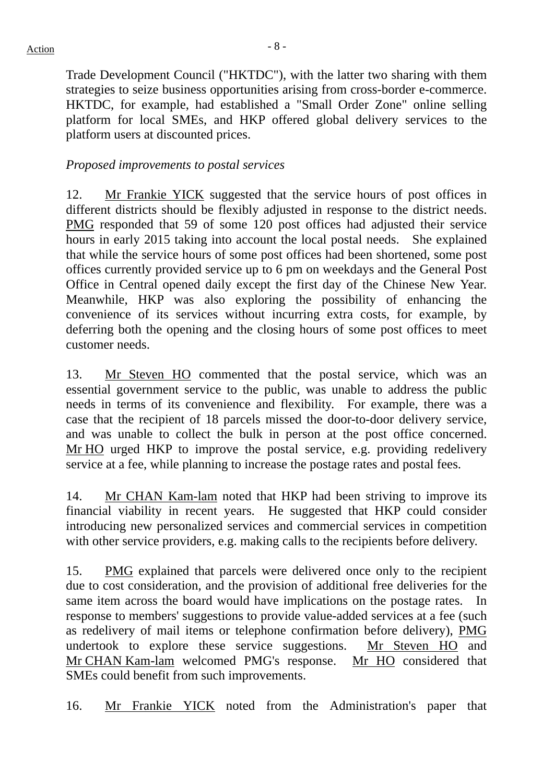Trade Development Council ("HKTDC"), with the latter two sharing with them strategies to seize business opportunities arising from cross-border e-commerce. HKTDC, for example, had established a "Small Order Zone" online selling platform for local SMEs, and HKP offered global delivery services to the platform users at discounted prices.

#### *Proposed improvements to postal services*

12. Mr Frankie YICK suggested that the service hours of post offices in different districts should be flexibly adjusted in response to the district needs. PMG responded that 59 of some 120 post offices had adjusted their service hours in early 2015 taking into account the local postal needs. She explained that while the service hours of some post offices had been shortened, some post offices currently provided service up to 6 pm on weekdays and the General Post Office in Central opened daily except the first day of the Chinese New Year. Meanwhile, HKP was also exploring the possibility of enhancing the convenience of its services without incurring extra costs, for example, by deferring both the opening and the closing hours of some post offices to meet customer needs.

13. Mr Steven HO commented that the postal service, which was an essential government service to the public, was unable to address the public needs in terms of its convenience and flexibility. For example, there was a case that the recipient of 18 parcels missed the door-to-door delivery service, and was unable to collect the bulk in person at the post office concerned. Mr HO urged HKP to improve the postal service, e.g. providing redelivery service at a fee, while planning to increase the postage rates and postal fees.

14. Mr CHAN Kam-lam noted that HKP had been striving to improve its financial viability in recent years. He suggested that HKP could consider introducing new personalized services and commercial services in competition with other service providers, e.g. making calls to the recipients before delivery.

15. PMG explained that parcels were delivered once only to the recipient due to cost consideration, and the provision of additional free deliveries for the same item across the board would have implications on the postage rates. In response to members' suggestions to provide value-added services at a fee (such as redelivery of mail items or telephone confirmation before delivery), PMG undertook to explore these service suggestions. Mr Steven HO and Mr CHAN Kam-lam welcomed PMG's response. Mr HO considered that SMEs could benefit from such improvements.

16. Mr Frankie YICK noted from the Administration's paper that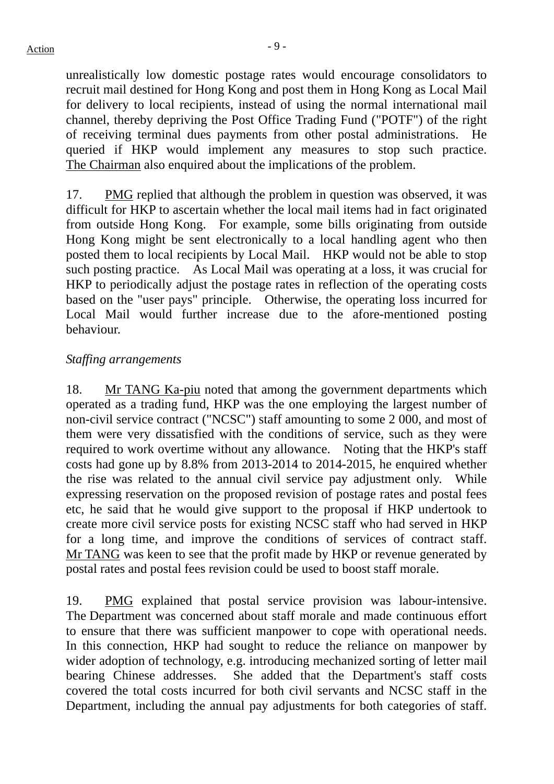unrealistically low domestic postage rates would encourage consolidators to recruit mail destined for Hong Kong and post them in Hong Kong as Local Mail for delivery to local recipients, instead of using the normal international mail channel, thereby depriving the Post Office Trading Fund ("POTF") of the right of receiving terminal dues payments from other postal administrations. He queried if HKP would implement any measures to stop such practice. The Chairman also enquired about the implications of the problem.

17. PMG replied that although the problem in question was observed, it was difficult for HKP to ascertain whether the local mail items had in fact originated from outside Hong Kong. For example, some bills originating from outside Hong Kong might be sent electronically to a local handling agent who then posted them to local recipients by Local Mail. HKP would not be able to stop such posting practice. As Local Mail was operating at a loss, it was crucial for HKP to periodically adjust the postage rates in reflection of the operating costs based on the "user pays" principle. Otherwise, the operating loss incurred for Local Mail would further increase due to the afore-mentioned posting behaviour.

#### *Staffing arrangements*

18. Mr TANG Ka-piu noted that among the government departments which operated as a trading fund, HKP was the one employing the largest number of non-civil service contract ("NCSC") staff amounting to some 2 000, and most of them were very dissatisfied with the conditions of service, such as they were required to work overtime without any allowance. Noting that the HKP's staff costs had gone up by 8.8% from 2013-2014 to 2014-2015, he enquired whether the rise was related to the annual civil service pay adjustment only. While expressing reservation on the proposed revision of postage rates and postal fees etc, he said that he would give support to the proposal if HKP undertook to create more civil service posts for existing NCSC staff who had served in HKP for a long time, and improve the conditions of services of contract staff. Mr TANG was keen to see that the profit made by HKP or revenue generated by postal rates and postal fees revision could be used to boost staff morale.

19. PMG explained that postal service provision was labour-intensive. The Department was concerned about staff morale and made continuous effort to ensure that there was sufficient manpower to cope with operational needs. In this connection, HKP had sought to reduce the reliance on manpower by wider adoption of technology, e.g. introducing mechanized sorting of letter mail bearing Chinese addresses. She added that the Department's staff costs covered the total costs incurred for both civil servants and NCSC staff in the Department, including the annual pay adjustments for both categories of staff.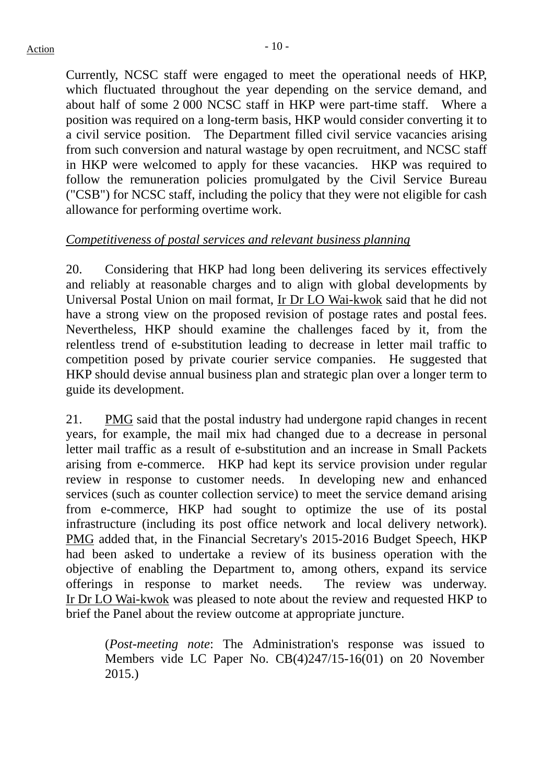Currently, NCSC staff were engaged to meet the operational needs of HKP, which fluctuated throughout the year depending on the service demand, and about half of some 2 000 NCSC staff in HKP were part-time staff. Where a position was required on a long-term basis, HKP would consider converting it to a civil service position. The Department filled civil service vacancies arising from such conversion and natural wastage by open recruitment, and NCSC staff in HKP were welcomed to apply for these vacancies. HKP was required to follow the remuneration policies promulgated by the Civil Service Bureau ("CSB") for NCSC staff, including the policy that they were not eligible for cash allowance for performing overtime work.

#### *Competitiveness of postal services and relevant business planning*

20. Considering that HKP had long been delivering its services effectively and reliably at reasonable charges and to align with global developments by Universal Postal Union on mail format, Ir Dr LO Wai-kwok said that he did not have a strong view on the proposed revision of postage rates and postal fees. Nevertheless, HKP should examine the challenges faced by it, from the relentless trend of e-substitution leading to decrease in letter mail traffic to competition posed by private courier service companies. He suggested that HKP should devise annual business plan and strategic plan over a longer term to guide its development.

21. PMG said that the postal industry had undergone rapid changes in recent years, for example, the mail mix had changed due to a decrease in personal letter mail traffic as a result of e-substitution and an increase in Small Packets arising from e-commerce. HKP had kept its service provision under regular review in response to customer needs. In developing new and enhanced services (such as counter collection service) to meet the service demand arising from e-commerce, HKP had sought to optimize the use of its postal infrastructure (including its post office network and local delivery network). PMG added that, in the Financial Secretary's 2015-2016 Budget Speech, HKP had been asked to undertake a review of its business operation with the objective of enabling the Department to, among others, expand its service offerings in response to market needs. The review was underway. Ir Dr LO Wai-kwok was pleased to note about the review and requested HKP to brief the Panel about the review outcome at appropriate juncture.

(*Post-meeting note*: The Administration's response was issued to Members vide LC Paper No. CB(4)247/15-16(01) on 20 November 2015.)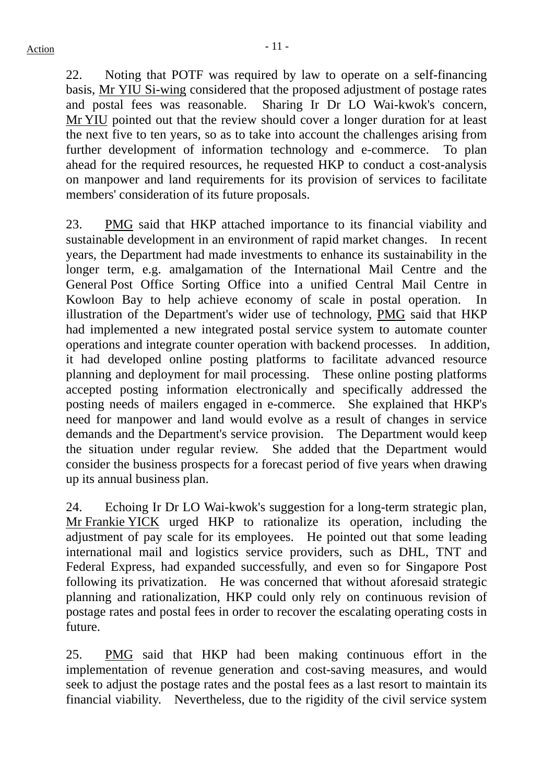22. Noting that POTF was required by law to operate on a self-financing basis, Mr YIU Si-wing considered that the proposed adjustment of postage rates and postal fees was reasonable. Sharing Ir Dr LO Wai-kwok's concern, Mr YIU pointed out that the review should cover a longer duration for at least the next five to ten years, so as to take into account the challenges arising from further development of information technology and e-commerce. To plan ahead for the required resources, he requested HKP to conduct a cost-analysis on manpower and land requirements for its provision of services to facilitate members' consideration of its future proposals.

23. PMG said that HKP attached importance to its financial viability and sustainable development in an environment of rapid market changes. In recent years, the Department had made investments to enhance its sustainability in the longer term, e.g. amalgamation of the International Mail Centre and the General Post Office Sorting Office into a unified Central Mail Centre in Kowloon Bay to help achieve economy of scale in postal operation. In illustration of the Department's wider use of technology, PMG said that HKP had implemented a new integrated postal service system to automate counter operations and integrate counter operation with backend processes. In addition, it had developed online posting platforms to facilitate advanced resource planning and deployment for mail processing. These online posting platforms accepted posting information electronically and specifically addressed the posting needs of mailers engaged in e-commerce. She explained that HKP's need for manpower and land would evolve as a result of changes in service demands and the Department's service provision. The Department would keep the situation under regular review. She added that the Department would consider the business prospects for a forecast period of five years when drawing up its annual business plan.

24. Echoing Ir Dr LO Wai-kwok's suggestion for a long-term strategic plan, Mr Frankie YICK urged HKP to rationalize its operation, including the adjustment of pay scale for its employees. He pointed out that some leading international mail and logistics service providers, such as DHL, TNT and Federal Express, had expanded successfully, and even so for Singapore Post following its privatization. He was concerned that without aforesaid strategic planning and rationalization, HKP could only rely on continuous revision of postage rates and postal fees in order to recover the escalating operating costs in future.

25. PMG said that HKP had been making continuous effort in the implementation of revenue generation and cost-saving measures, and would seek to adjust the postage rates and the postal fees as a last resort to maintain its financial viability. Nevertheless, due to the rigidity of the civil service system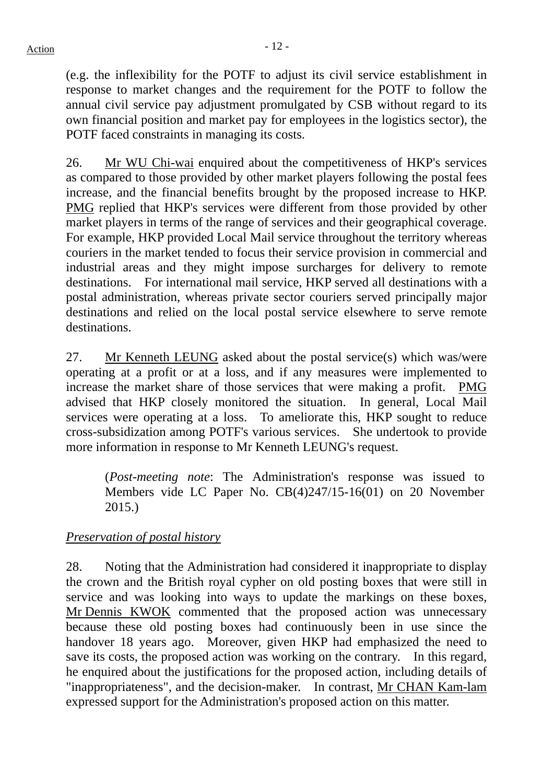(e.g. the inflexibility for the POTF to adjust its civil service establishment in response to market changes and the requirement for the POTF to follow the annual civil service pay adjustment promulgated by CSB without regard to its own financial position and market pay for employees in the logistics sector), the POTF faced constraints in managing its costs.

26. Mr WU Chi-wai enquired about the competitiveness of HKP's services as compared to those provided by other market players following the postal fees increase, and the financial benefits brought by the proposed increase to HKP. PMG replied that HKP's services were different from those provided by other market players in terms of the range of services and their geographical coverage. For example, HKP provided Local Mail service throughout the territory whereas couriers in the market tended to focus their service provision in commercial and industrial areas and they might impose surcharges for delivery to remote destinations. For international mail service, HKP served all destinations with a postal administration, whereas private sector couriers served principally major destinations and relied on the local postal service elsewhere to serve remote destinations.

27. Mr Kenneth LEUNG asked about the postal service(s) which was/were operating at a profit or at a loss, and if any measures were implemented to increase the market share of those services that were making a profit. PMG advised that HKP closely monitored the situation. In general, Local Mail services were operating at a loss. To ameliorate this, HKP sought to reduce cross-subsidization among POTF's various services. She undertook to provide more information in response to Mr Kenneth LEUNG's request.

(*Post-meeting note*: The Administration's response was issued to Members vide LC Paper No. CB(4)247/15-16(01) on 20 November 2015.)

## *Preservation of postal history*

28. Noting that the Administration had considered it inappropriate to display the crown and the British royal cypher on old posting boxes that were still in service and was looking into ways to update the markings on these boxes, Mr Dennis KWOK commented that the proposed action was unnecessary because these old posting boxes had continuously been in use since the handover 18 years ago. Moreover, given HKP had emphasized the need to save its costs, the proposed action was working on the contrary. In this regard, he enquired about the justifications for the proposed action, including details of "inappropriateness", and the decision-maker. In contrast, Mr CHAN Kam-lam expressed support for the Administration's proposed action on this matter.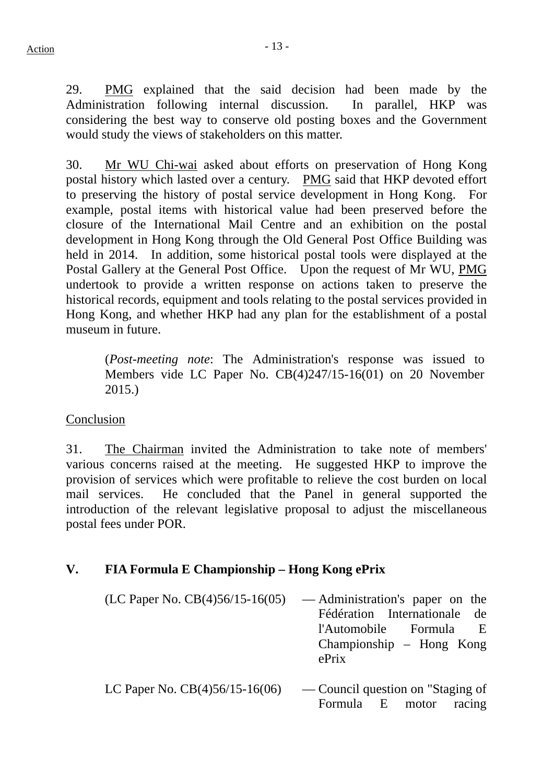29. PMG explained that the said decision had been made by the Administration following internal discussion. In parallel, HKP was considering the best way to conserve old posting boxes and the Government would study the views of stakeholders on this matter.

30. Mr WU Chi-wai asked about efforts on preservation of Hong Kong postal history which lasted over a century. PMG said that HKP devoted effort to preserving the history of postal service development in Hong Kong. For example, postal items with historical value had been preserved before the closure of the International Mail Centre and an exhibition on the postal development in Hong Kong through the Old General Post Office Building was held in 2014. In addition, some historical postal tools were displayed at the Postal Gallery at the General Post Office. Upon the request of Mr WU, PMG undertook to provide a written response on actions taken to preserve the historical records, equipment and tools relating to the postal services provided in Hong Kong, and whether HKP had any plan for the establishment of a postal museum in future.

(*Post-meeting note*: The Administration's response was issued to Members vide LC Paper No. CB(4)247/15-16(01) on 20 November 2015.)

#### Conclusion

31. The Chairman invited the Administration to take note of members' various concerns raised at the meeting. He suggested HKP to improve the provision of services which were profitable to relieve the cost burden on local mail services. He concluded that the Panel in general supported the introduction of the relevant legislative proposal to adjust the miscellaneous postal fees under POR.

## **V. FIA Formula E Championship – Hong Kong ePrix**

- $(LC$  Paper No.  $CB(4)56/15-16(05)$  Administration's paper on the Fédération Internationale de l'Automobile Formula E Championship – Hong Kong ePrix
- LC Paper No.  $CB(4)56/15-16(06)$  Council question on ["Staging of](http://www.legco.gov.hk/yr13-14/english/counmtg/agenda/cm20140108.htm#q_6) [Formula E motor racing](http://www.legco.gov.hk/yr13-14/english/counmtg/agenda/cm20140108.htm#q_6)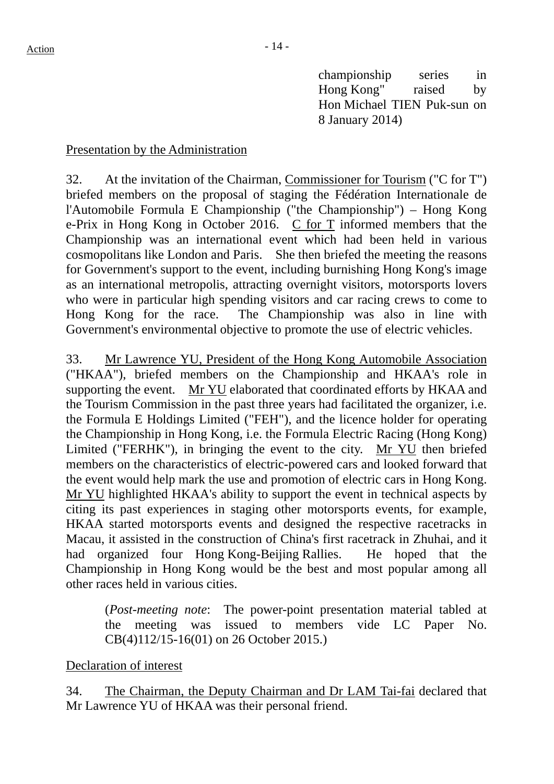[championship serie](http://www.legco.gov.hk/yr13-14/english/counmtg/agenda/cm20140108.htm#q_6)s in Hong Kong" raised by Hon Michael TIEN Puk-sun on 8 January 2014)

#### Presentation by the Administration

32. At the invitation of the Chairman, Commissioner for Tourism ("C for T") briefed members on the proposal of staging the Fédération Internationale de l'Automobile Formula E Championship ("the Championship") – Hong Kong e-Prix in Hong Kong in October 2016. C for T informed members that the Championship was an international event which had been held in various cosmopolitans like London and Paris. She then briefed the meeting the reasons for Government's support to the event, including burnishing Hong Kong's image as an international metropolis, attracting overnight visitors, motorsports lovers who were in particular high spending visitors and car racing crews to come to Hong Kong for the race. The Championship was also in line with Government's environmental objective to promote the use of electric vehicles.

33. Mr Lawrence YU, President of the Hong Kong Automobile Association ("HKAA"), briefed members on the Championship and HKAA's role in supporting the event. Mr YU elaborated that coordinated efforts by HKAA and the Tourism Commission in the past three years had facilitated the organizer, i.e. the Formula E Holdings Limited ("FEH"), and the licence holder for operating the Championship in Hong Kong, i.e. the Formula Electric Racing (Hong Kong) Limited ("FERHK"), in bringing the event to the city. Mr YU then briefed members on the characteristics of electric-powered cars and looked forward that the event would help mark the use and promotion of electric cars in Hong Kong. Mr YU highlighted HKAA's ability to support the event in technical aspects by citing its past experiences in staging other motorsports events, for example, HKAA started motorsports events and designed the respective racetracks in Macau, it assisted in the construction of China's first racetrack in Zhuhai, and it had organized four Hong Kong-Beijing Rallies. He hoped that the Championship in Hong Kong would be the best and most popular among all other races held in various cities.

(*Post-meeting note*: The power-point presentation material tabled at the meeting was issued to members vide LC Paper No. CB(4)112/15-16(01) on 26 October 2015.)

#### Declaration of interest

34. The Chairman, the Deputy Chairman and Dr LAM Tai-fai declared that Mr Lawrence YU of HKAA was their personal friend.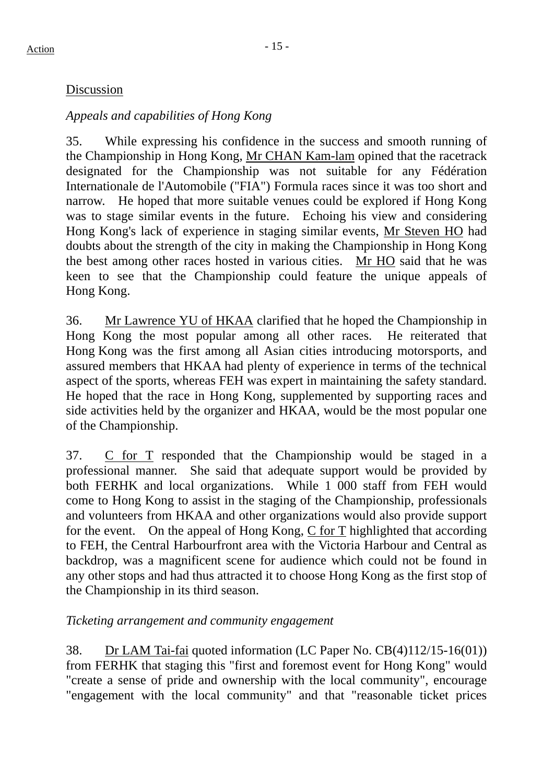#### Discussion

## *Appeals and capabilities of Hong Kong*

35. While expressing his confidence in the success and smooth running of the Championship in Hong Kong, Mr CHAN Kam-lam opined that the racetrack designated for the Championship was not suitable for any Fédération Internationale de l'Automobile ("FIA") Formula races since it was too short and narrow. He hoped that more suitable venues could be explored if Hong Kong was to stage similar events in the future. Echoing his view and considering Hong Kong's lack of experience in staging similar events, Mr Steven HO had doubts about the strength of the city in making the Championship in Hong Kong the best among other races hosted in various cities. Mr HO said that he was keen to see that the Championship could feature the unique appeals of Hong Kong.

36. Mr Lawrence YU of HKAA clarified that he hoped the Championship in Hong Kong the most popular among all other races. He reiterated that Hong Kong was the first among all Asian cities introducing motorsports, and assured members that HKAA had plenty of experience in terms of the technical aspect of the sports, whereas FEH was expert in maintaining the safety standard. He hoped that the race in Hong Kong, supplemented by supporting races and side activities held by the organizer and HKAA, would be the most popular one of the Championship.

37. C for T responded that the Championship would be staged in a professional manner. She said that adequate support would be provided by both FERHK and local organizations. While 1 000 staff from FEH would come to Hong Kong to assist in the staging of the Championship, professionals and volunteers from HKAA and other organizations would also provide support for the event. On the appeal of Hong Kong, C for T highlighted that according to FEH, the Central Harbourfront area with the Victoria Harbour and Central as backdrop, was a magnificent scene for audience which could not be found in any other stops and had thus attracted it to choose Hong Kong as the first stop of the Championship in its third season.

## *Ticketing arrangement and community engagement*

38. Dr LAM Tai-fai quoted information (LC Paper No. CB(4)112/15-16(01)) from FERHK that staging this "first and foremost event for Hong Kong" would "create a sense of pride and ownership with the local community", encourage "engagement with the local community" and that "reasonable ticket prices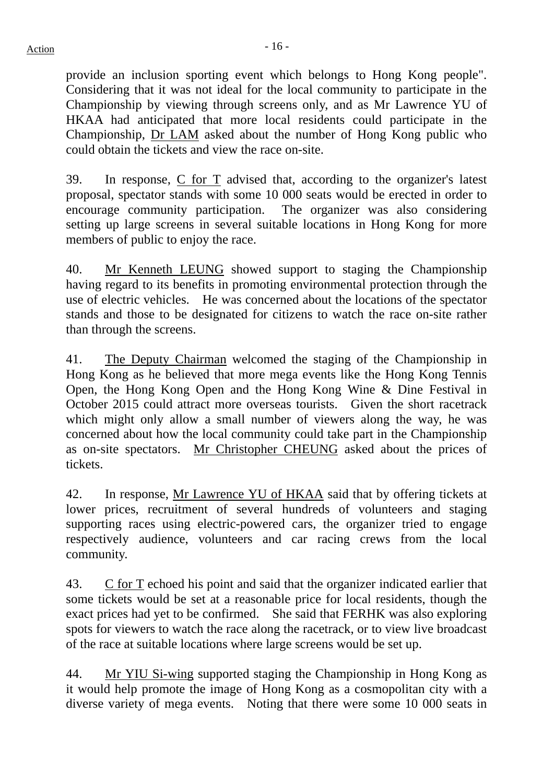provide an inclusion sporting event which belongs to Hong Kong people". Considering that it was not ideal for the local community to participate in the Championship by viewing through screens only, and as Mr Lawrence YU of HKAA had anticipated that more local residents could participate in the Championship, Dr LAM asked about the number of Hong Kong public who could obtain the tickets and view the race on-site.

39. In response, C for T advised that, according to the organizer's latest proposal, spectator stands with some 10 000 seats would be erected in order to encourage community participation. The organizer was also considering setting up large screens in several suitable locations in Hong Kong for more members of public to enjoy the race.

40. Mr Kenneth LEUNG showed support to staging the Championship having regard to its benefits in promoting environmental protection through the use of electric vehicles. He was concerned about the locations of the spectator stands and those to be designated for citizens to watch the race on-site rather than through the screens.

41. The Deputy Chairman welcomed the staging of the Championship in Hong Kong as he believed that more mega events like the Hong Kong Tennis Open, the Hong Kong Open and the Hong Kong Wine & Dine Festival in October 2015 could attract more overseas tourists. Given the short racetrack which might only allow a small number of viewers along the way, he was concerned about how the local community could take part in the Championship as on-site spectators. Mr Christopher CHEUNG asked about the prices of tickets.

42. In response, Mr Lawrence YU of HKAA said that by offering tickets at lower prices, recruitment of several hundreds of volunteers and staging supporting races using electric-powered cars, the organizer tried to engage respectively audience, volunteers and car racing crews from the local community.

43. C for T echoed his point and said that the organizer indicated earlier that some tickets would be set at a reasonable price for local residents, though the exact prices had yet to be confirmed. She said that FERHK was also exploring spots for viewers to watch the race along the racetrack, or to view live broadcast of the race at suitable locations where large screens would be set up.

44. Mr YIU Si-wing supported staging the Championship in Hong Kong as it would help promote the image of Hong Kong as a cosmopolitan city with a diverse variety of mega events. Noting that there were some 10 000 seats in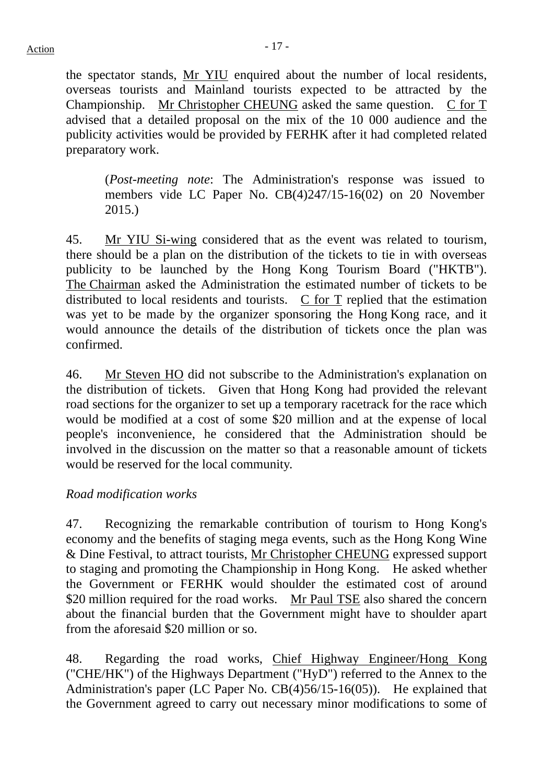the spectator stands, Mr YIU enquired about the number of local residents, overseas tourists and Mainland tourists expected to be attracted by the Championship. Mr Christopher CHEUNG asked the same question. C for T advised that a detailed proposal on the mix of the 10 000 audience and the publicity activities would be provided by FERHK after it had completed related preparatory work.

(*Post-meeting note*: The Administration's response was issued to members vide LC Paper No. CB(4)247/15-16(02) on 20 November 2015.)

45. Mr YIU Si-wing considered that as the event was related to tourism, there should be a plan on the distribution of the tickets to tie in with overseas publicity to be launched by the Hong Kong Tourism Board ("HKTB"). The Chairman asked the Administration the estimated number of tickets to be distributed to local residents and tourists. C for T replied that the estimation was yet to be made by the organizer sponsoring the Hong Kong race, and it would announce the details of the distribution of tickets once the plan was confirmed.

46. Mr Steven HO did not subscribe to the Administration's explanation on the distribution of tickets. Given that Hong Kong had provided the relevant road sections for the organizer to set up a temporary racetrack for the race which would be modified at a cost of some \$20 million and at the expense of local people's inconvenience, he considered that the Administration should be involved in the discussion on the matter so that a reasonable amount of tickets would be reserved for the local community.

#### *Road modification works*

47. Recognizing the remarkable contribution of tourism to Hong Kong's economy and the benefits of staging mega events, such as the Hong Kong Wine & Dine Festival, to attract tourists, Mr Christopher CHEUNG expressed support to staging and promoting the Championship in Hong Kong. He asked whether the Government or FERHK would shoulder the estimated cost of around \$20 million required for the road works. Mr Paul TSE also shared the concern about the financial burden that the Government might have to shoulder apart from the aforesaid \$20 million or so.

48. Regarding the road works, Chief Highway Engineer/Hong Kong ("CHE/HK") of the Highways Department ("HyD") referred to the Annex to the Administration's paper (LC Paper No. CB(4)56/15-16(05)). He explained that the Government agreed to carry out necessary minor modifications to some of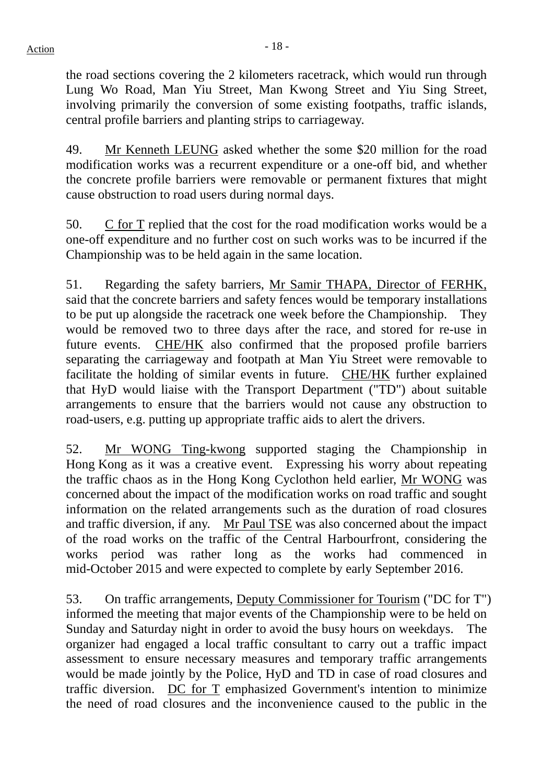the road sections covering the 2 kilometers racetrack, which would run through Lung Wo Road, Man Yiu Street, Man Kwong Street and Yiu Sing Street, involving primarily the conversion of some existing footpaths, traffic islands, central profile barriers and planting strips to carriageway.

49. Mr Kenneth LEUNG asked whether the some \$20 million for the road modification works was a recurrent expenditure or a one-off bid, and whether the concrete profile barriers were removable or permanent fixtures that might cause obstruction to road users during normal days.

50. C for T replied that the cost for the road modification works would be a one-off expenditure and no further cost on such works was to be incurred if the Championship was to be held again in the same location.

51. Regarding the safety barriers, Mr Samir THAPA, Director of FERHK, said that the concrete barriers and safety fences would be temporary installations to be put up alongside the racetrack one week before the Championship. They would be removed two to three days after the race, and stored for re-use in future events. CHE/HK also confirmed that the proposed profile barriers separating the carriageway and footpath at Man Yiu Street were removable to facilitate the holding of similar events in future. CHE/HK further explained that HyD would liaise with the Transport Department ("TD") about suitable arrangements to ensure that the barriers would not cause any obstruction to road-users, e.g. putting up appropriate traffic aids to alert the drivers.

52. Mr WONG Ting-kwong supported staging the Championship in Hong Kong as it was a creative event. Expressing his worry about repeating the traffic chaos as in the Hong Kong Cyclothon held earlier, Mr WONG was concerned about the impact of the modification works on road traffic and sought information on the related arrangements such as the duration of road closures and traffic diversion, if any. Mr Paul TSE was also concerned about the impact of the road works on the traffic of the Central Harbourfront, considering the works period was rather long as the works had commenced in mid-October 2015 and were expected to complete by early September 2016.

53. On traffic arrangements, Deputy Commissioner for Tourism ("DC for T") informed the meeting that major events of the Championship were to be held on Sunday and Saturday night in order to avoid the busy hours on weekdays. The organizer had engaged a local traffic consultant to carry out a traffic impact assessment to ensure necessary measures and temporary traffic arrangements would be made jointly by the Police, HyD and TD in case of road closures and traffic diversion.  $\underline{DC}$  for  $\underline{T}$  emphasized Government's intention to minimize the need of road closures and the inconvenience caused to the public in the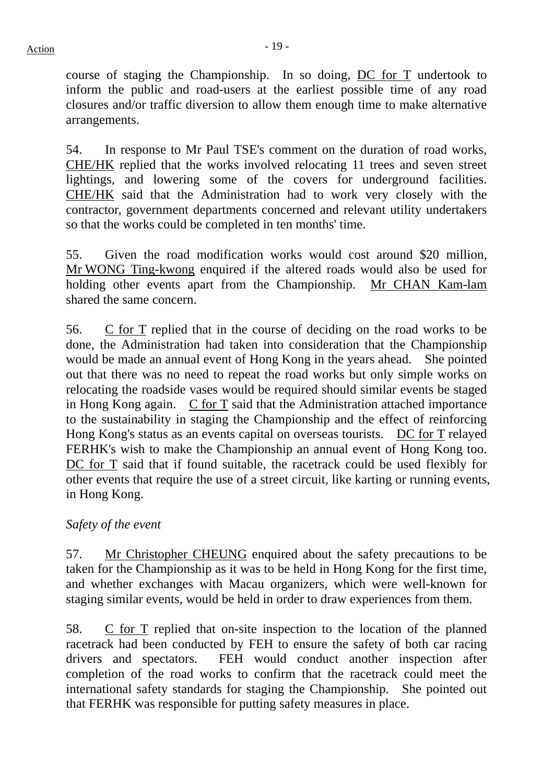course of staging the Championship. In so doing, DC for T undertook to inform the public and road-users at the earliest possible time of any road closures and/or traffic diversion to allow them enough time to make alternative arrangements.

54. In response to Mr Paul TSE's comment on the duration of road works, CHE/HK replied that the works involved relocating 11 trees and seven street lightings, and lowering some of the covers for underground facilities. CHE/HK said that the Administration had to work very closely with the contractor, government departments concerned and relevant utility undertakers so that the works could be completed in ten months' time.

55. Given the road modification works would cost around \$20 million, Mr WONG Ting-kwong enquired if the altered roads would also be used for holding other events apart from the Championship. Mr CHAN Kam-lam shared the same concern.

56. C for T replied that in the course of deciding on the road works to be done, the Administration had taken into consideration that the Championship would be made an annual event of Hong Kong in the years ahead. She pointed out that there was no need to repeat the road works but only simple works on relocating the roadside vases would be required should similar events be staged in Hong Kong again. C for T said that the Administration attached importance to the sustainability in staging the Championship and the effect of reinforcing Hong Kong's status as an events capital on overseas tourists. DC for T relayed FERHK's wish to make the Championship an annual event of Hong Kong too. DC for T said that if found suitable, the racetrack could be used flexibly for other events that require the use of a street circuit, like karting or running events, in Hong Kong.

#### *Safety of the event*

57. Mr Christopher CHEUNG enquired about the safety precautions to be taken for the Championship as it was to be held in Hong Kong for the first time, and whether exchanges with Macau organizers, which were well-known for staging similar events, would be held in order to draw experiences from them.

58. C for T replied that on-site inspection to the location of the planned racetrack had been conducted by FEH to ensure the safety of both car racing drivers and spectators. FEH would conduct another inspection after completion of the road works to confirm that the racetrack could meet the international safety standards for staging the Championship. She pointed out that FERHK was responsible for putting safety measures in place.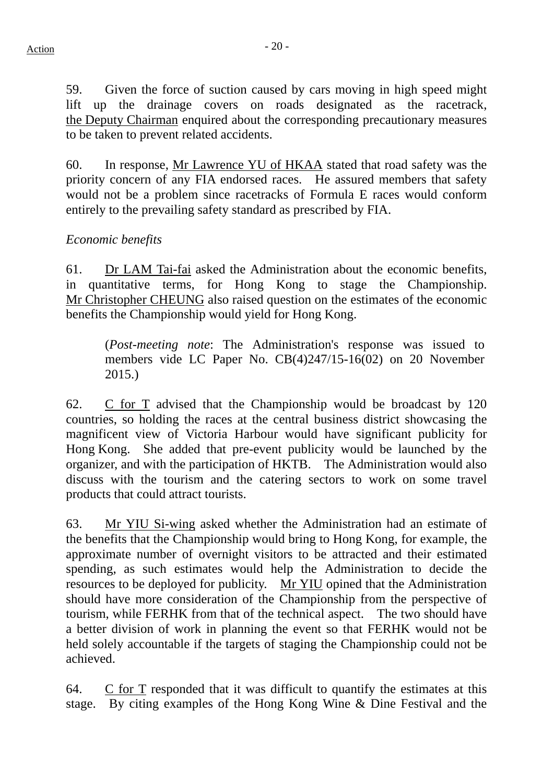59. Given the force of suction caused by cars moving in high speed might lift up the drainage covers on roads designated as the racetrack, the Deputy Chairman enquired about the corresponding precautionary measures to be taken to prevent related accidents.

60. In response, Mr Lawrence YU of HKAA stated that road safety was the priority concern of any FIA endorsed races. He assured members that safety would not be a problem since racetracks of Formula E races would conform entirely to the prevailing safety standard as prescribed by FIA.

## *Economic benefits*

61. Dr LAM Tai-fai asked the Administration about the economic benefits, in quantitative terms, for Hong Kong to stage the Championship. Mr Christopher CHEUNG also raised question on the estimates of the economic benefits the Championship would yield for Hong Kong.

(*Post-meeting note*: The Administration's response was issued to members vide LC Paper No. CB(4)247/15-16(02) on 20 November 2015.)

62. C for T advised that the Championship would be broadcast by 120 countries, so holding the races at the central business district showcasing the magnificent view of Victoria Harbour would have significant publicity for Hong Kong. She added that pre-event publicity would be launched by the organizer, and with the participation of HKTB. The Administration would also discuss with the tourism and the catering sectors to work on some travel products that could attract tourists.

63. Mr YIU Si-wing asked whether the Administration had an estimate of the benefits that the Championship would bring to Hong Kong, for example, the approximate number of overnight visitors to be attracted and their estimated spending, as such estimates would help the Administration to decide the resources to be deployed for publicity. Mr YIU opined that the Administration should have more consideration of the Championship from the perspective of tourism, while FERHK from that of the technical aspect. The two should have a better division of work in planning the event so that FERHK would not be held solely accountable if the targets of staging the Championship could not be achieved.

64. C for T responded that it was difficult to quantify the estimates at this stage. By citing examples of the Hong Kong Wine & Dine Festival and the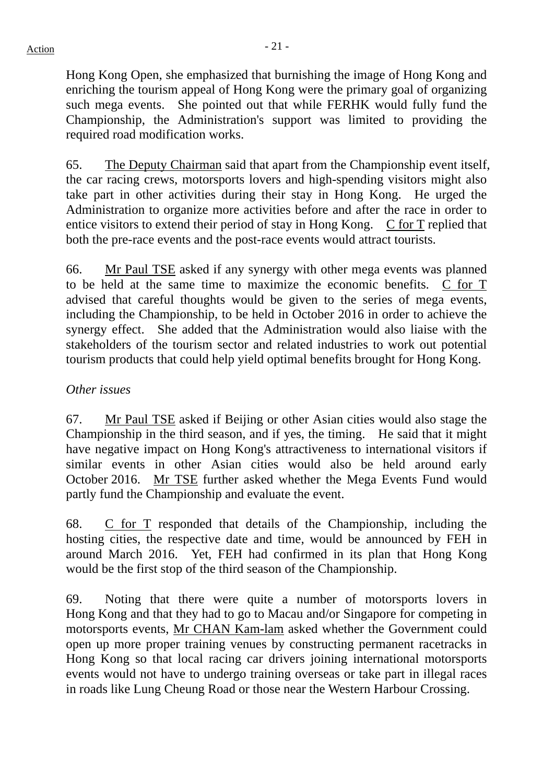Hong Kong Open, she emphasized that burnishing the image of Hong Kong and enriching the tourism appeal of Hong Kong were the primary goal of organizing such mega events. She pointed out that while FERHK would fully fund the Championship, the Administration's support was limited to providing the required road modification works.

65. The Deputy Chairman said that apart from the Championship event itself, the car racing crews, motorsports lovers and high-spending visitors might also take part in other activities during their stay in Hong Kong. He urged the Administration to organize more activities before and after the race in order to entice visitors to extend their period of stay in Hong Kong. C for T replied that both the pre-race events and the post-race events would attract tourists.

66. Mr Paul TSE asked if any synergy with other mega events was planned to be held at the same time to maximize the economic benefits. C for T advised that careful thoughts would be given to the series of mega events, including the Championship, to be held in October 2016 in order to achieve the synergy effect. She added that the Administration would also liaise with the stakeholders of the tourism sector and related industries to work out potential tourism products that could help yield optimal benefits brought for Hong Kong.

#### *Other issues*

67. Mr Paul TSE asked if Beijing or other Asian cities would also stage the Championship in the third season, and if yes, the timing. He said that it might have negative impact on Hong Kong's attractiveness to international visitors if similar events in other Asian cities would also be held around early October 2016. Mr TSE further asked whether the Mega Events Fund would partly fund the Championship and evaluate the event.

68. C for T responded that details of the Championship, including the hosting cities, the respective date and time, would be announced by FEH in around March 2016. Yet, FEH had confirmed in its plan that Hong Kong would be the first stop of the third season of the Championship.

69. Noting that there were quite a number of motorsports lovers in Hong Kong and that they had to go to Macau and/or Singapore for competing in motorsports events, Mr CHAN Kam-lam asked whether the Government could open up more proper training venues by constructing permanent racetracks in Hong Kong so that local racing car drivers joining international motorsports events would not have to undergo training overseas or take part in illegal races in roads like Lung Cheung Road or those near the Western Harbour Crossing.